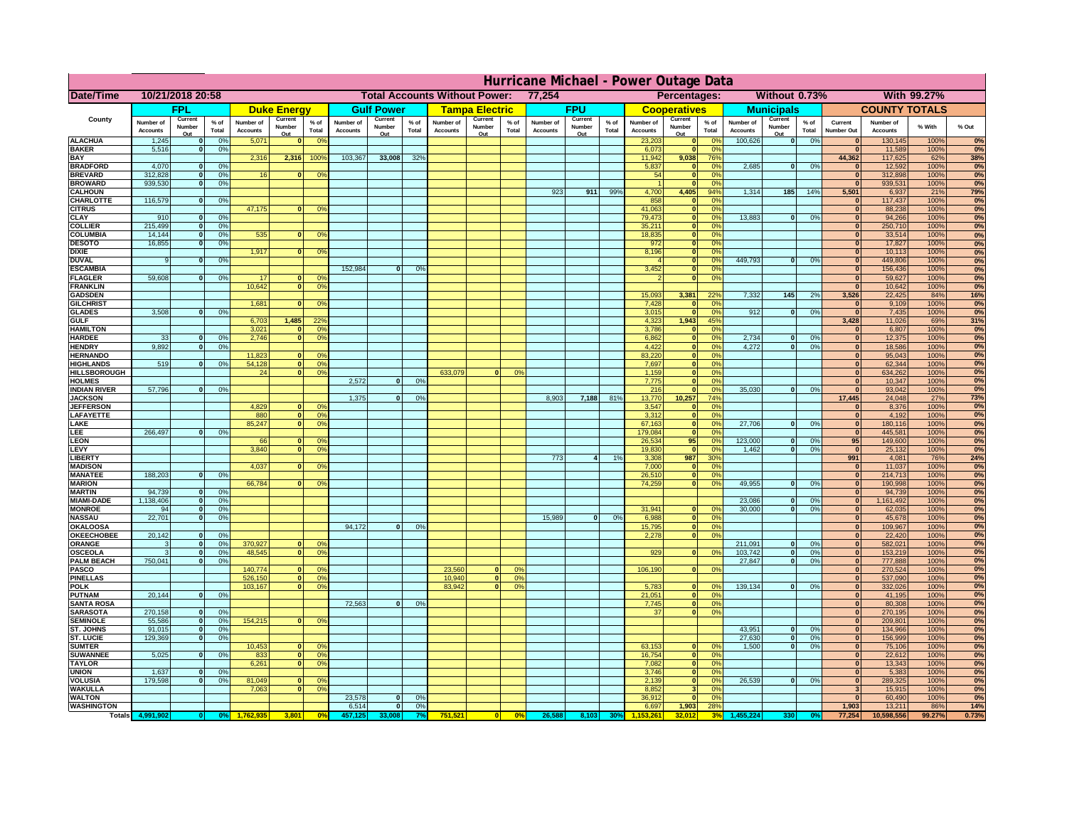|                                         | Hurricane Michael - Power Outage Data |                             |                 |                              |                     |                                                |                              |                    |                |                              |                       |                  |                                              |                         |                 |                              |                     |                                  |                              |                         |                 |                              |                              |              |           |
|-----------------------------------------|---------------------------------------|-----------------------------|-----------------|------------------------------|---------------------|------------------------------------------------|------------------------------|--------------------|----------------|------------------------------|-----------------------|------------------|----------------------------------------------|-------------------------|-----------------|------------------------------|---------------------|----------------------------------|------------------------------|-------------------------|-----------------|------------------------------|------------------------------|--------------|-----------|
| Date/Time                               | 10/21/2018 20:58                      |                             |                 |                              |                     | <b>Total Accounts Without Power:</b><br>77,254 |                              |                    |                |                              |                       |                  | Without 0.73%<br>With 99.27%<br>Percentages: |                         |                 |                              |                     |                                  |                              |                         |                 |                              |                              |              |           |
|                                         |                                       | FPL                         |                 |                              | <b>Duke Energy</b>  |                                                |                              | <b>Gulf Power</b>  |                |                              | <b>Tampa Electric</b> |                  |                                              | <b>FPU</b>              |                 |                              | <b>Cooperatives</b> |                                  |                              | <b>Municipals</b>       |                 |                              | <b>COUNTY TOTALS</b>         |              |           |
| County                                  | Number of<br><b>Accounts</b>          | Current<br>Number           | $%$ of<br>Total | Number of<br><b>Accounts</b> | Current<br>Number   | $%$ of<br>Total                                | Number of<br><b>Accounts</b> | Current<br>Number  | % of<br>Total  | Number of<br><b>Accounts</b> | Current<br>Number     | $%$ of<br>Total  | Number of<br><b>Accounts</b>                 | Current<br>Number       | $%$ of<br>Total | Number of<br><b>Accounts</b> | Current<br>Number   | $%$ of<br>Total                  | Number of<br><b>Accounts</b> | Current<br>Number       | $%$ of<br>Total | Current<br><b>Number Out</b> | Number of<br><b>Accounts</b> | % With       | % Out     |
| <b>ALACHUA</b>                          | 1,245                                 | Out<br>$\mathbf{0}$         | 0%              | 5,071                        | Out<br>$\mathbf{0}$ | 0 <sup>9</sup>                                 |                              | Out                |                |                              | Out                   |                  |                                              | Out                     |                 | 23,203                       | Out<br> 0           | 0 <sup>9</sup>                   | 100,626                      | Out<br> 0               | 0%              | $\bf{0}$                     | 130,145                      | 100%         | 0%        |
| <b>BAKER</b>                            | 5,516                                 | 0                           | 0%              |                              |                     |                                                |                              |                    |                |                              |                       |                  |                                              |                         |                 | 6,073                        | 0                   | 0%                               |                              |                         |                 | $\mathbf{0}$                 | 11,589                       | 100%         | 0%        |
| <b>BAY</b><br><b>BRADFORD</b>           | 4,070                                 | $\mathbf{0}$                | 0%              | 2,316                        | 2,316               | 100%                                           | 103,367                      | 33,008             | 32%            |                              |                       |                  |                                              |                         |                 | 11,942<br>5,837              | 9,038<br> 0         | 76%<br>0%                        | 2,685                        | 0                       | 0%              | 44,362<br>$\bf{0}$           | 117,625<br>12,592            | 62%<br>100%  | 38%<br>0% |
| <b>BREVARD</b>                          | 312,828                               | 0                           | 0%              | 16                           | $\mathbf{0}$        | 0 <sup>o</sup>                                 |                              |                    |                |                              |                       |                  |                                              |                         |                 | 54                           | 0                   | 0%                               |                              |                         |                 | 0                            | 312,898                      | 100%         | 0%        |
| <b>BROWARD</b>                          | 939.530                               | 0                           | 0%              |                              |                     |                                                |                              |                    |                |                              |                       |                  |                                              |                         |                 |                              | 0                   | 0%                               |                              |                         |                 | $\bf{0}$                     | 939,531                      | 100%         | 0%        |
| <b>CALHOUN</b>                          |                                       |                             |                 |                              |                     |                                                |                              |                    |                |                              |                       |                  | 923                                          | 911                     | 99%             | 4,700                        | 4,405               | 94%                              | 1,314                        | 185                     | 14%             | 5,501                        | 6,937                        | 21%          | 79%       |
| CHARLOTTE<br><b>CITRUS</b>              | 116,579                               | 0                           | 0%              | 47,175                       | $\mathbf{0}$        | 0 <sup>o</sup>                                 |                              |                    |                |                              |                       |                  |                                              |                         |                 | 858<br>41,063                | 0 <br> 0            | 0 <sup>9</sup><br>0 <sup>9</sup> |                              |                         |                 | $\bf{0}$<br>$\bf{0}$         | 117,437<br>88,238            | 100%<br>100% | 0%<br>0%  |
| <b>CLAY</b>                             | 910                                   | $\mathbf{0}$                | 0%              |                              |                     |                                                |                              |                    |                |                              |                       |                  |                                              |                         |                 | 79,473                       | 0                   | 0%                               | 13,883                       | $\mathbf{0}$            | 0%              | $\bf{0}$                     | 94,266                       | 100%         | 0%        |
| <b>COLLIER</b>                          | 215,499                               | $\mathbf{0}$                | 0 <sup>9</sup>  |                              |                     |                                                |                              |                    |                |                              |                       |                  |                                              |                         |                 | 35,211                       | 0                   | 0%                               |                              |                         |                 | $\bf{0}$                     | 250,710                      | 100%         | 0%        |
| <b>COLUMBIA</b><br><b>DESOTO</b>        | 14,144<br>16,855                      | $\mathbf 0$<br>$\mathbf{0}$ | 0%<br>0%        | 535                          | $\mathbf{0}$        | 0 <sup>9</sup>                                 |                              |                    |                |                              |                       |                  |                                              |                         |                 | 18,835<br>972                | 0 <br> 0            | 0%<br>0%                         |                              |                         |                 | $\bf{0}$<br>$\bf{0}$         | 33,514<br>17,827             | 100%<br>100% | 0%<br>0%  |
| <b>DIXIE</b>                            |                                       |                             |                 | 1,917                        | $\Omega$            | 0 <sup>9</sup>                                 |                              |                    |                |                              |                       |                  |                                              |                         |                 | 8,196                        | 0                   | 0%                               |                              |                         |                 | $\Omega$                     | 10,113                       | 100%         | 0%        |
| <b>DUVAL</b>                            | 9                                     | $\Omega$                    | 0%              |                              |                     |                                                |                              |                    |                |                              |                       |                  |                                              |                         |                 |                              | 0                   | 0%                               | 449.793                      | $\overline{\mathbf{0}}$ | 0%              | $\Omega$                     | 449,806                      | 100%         | 0%        |
| <b>ESCAMBIA</b>                         |                                       |                             |                 |                              |                     |                                                | 152,984                      | $\mathbf{0}$       | 0 <sup>9</sup> |                              |                       |                  |                                              |                         |                 | 3,452                        | 0                   | 0%                               |                              |                         |                 | $\Omega$                     | 156,436                      | 100%         | 0%        |
| <b>FLAGLER</b><br><b>FRANKLIN</b>       | 59,608                                | $\overline{0}$              | 0%              | 17<br>10,642                 | $\bf{0}$<br> 0      | 0 <sup>o</sup><br>0 <sup>9</sup>               |                              |                    |                |                              |                       |                  |                                              |                         |                 |                              | 0                   | 0%                               |                              |                         |                 | $\mathbf{0}$<br>$\Omega$     | 59,627<br>10,642             | 100%<br>100% | 0%<br>0%  |
| <b>GADSDEN</b>                          |                                       |                             |                 |                              |                     |                                                |                              |                    |                |                              |                       |                  |                                              |                         |                 | 15,093                       | 3,381               | 22%                              | 7,332                        | $145$                   | 2%              | 3,526                        | 22,425                       | 84%          | 16%       |
| <b>GILCHRIST</b>                        |                                       |                             |                 | 1,681                        | $\mathbf{0}$        | 0 <sup>9</sup>                                 |                              |                    |                |                              |                       |                  |                                              |                         |                 | 7,428                        | 0                   | 0%                               |                              |                         |                 | $\mathbf{0}$                 | 9,109                        | 100%         | 0%        |
| <b>GLADES</b>                           | 3,508                                 | 0                           | 0%              |                              |                     |                                                |                              |                    |                |                              |                       |                  |                                              |                         |                 | 3,015                        | 0                   | 0%                               | 912                          | $\overline{0}$          | 0%              | 0                            | 7,435                        | 100%         | 0%        |
| <b>GULF</b><br><b>HAMILTON</b>          |                                       |                             |                 | 6,703<br>3,021               | 1,485<br>$\Omega$   | 22 <sup>o</sup><br>0 <sup>9</sup>              |                              |                    |                |                              |                       |                  |                                              |                         |                 | 4,323<br>3,786               | 1,943<br> 0         | 45%<br>0%                        |                              |                         |                 | 3,428<br>$\Omega$            | 11,026<br>6,807              | 69%<br>100%  | 31%<br>0% |
| <b>HARDEE</b>                           | 33                                    | $\overline{0}$              | 0%              | 2.746                        |                     | $\overline{0}$<br>0 <sup>9</sup>               |                              |                    |                |                              |                       |                  |                                              |                         |                 | 6.862                        | $\overline{0}$      | 0%                               | 2.734                        | $\mathbf{0}$            | 0%              | 0                            | 12,375                       | 100%         | 0%        |
| <b>HENDRY</b>                           | 9,892                                 | $\Omega$                    | 0%              |                              |                     |                                                |                              |                    |                |                              |                       |                  |                                              |                         |                 | 4,422                        | 0                   | 0%                               | 4,272                        | $\Omega$                | 0%              | 0                            | 18,586                       | 100%         | 0%        |
| <b>HERNANDO</b>                         |                                       |                             |                 | 11,823                       | $\mathbf{0}$        | 0 <sup>9</sup>                                 |                              |                    |                |                              |                       |                  |                                              |                         |                 | 83,220                       | 0                   | 0%                               |                              |                         |                 | $\mathbf{0}$                 | 95,043                       | 100%         | 0%        |
| <b>HIGHLANDS</b><br><b>HILLSBOROUGH</b> | 519                                   | $\mathbf{0}$                | 0 <sup>9</sup>  | 54,128<br>24                 |                     | 0 <br>0 <sup>9</sup><br> 0 <br>0 <sup>9</sup>  |                              |                    |                | 633,079                      |                       | 0%               |                                              |                         |                 | 7,697<br>1,159               | 0 <br> 0            | 0%<br>0%                         |                              |                         |                 | $\mathbf{0}$<br>$\mathbf{0}$ | 62,344<br>634,262            | 100%<br>100% | 0%<br>0%  |
| <b>HOLMES</b>                           |                                       |                             |                 |                              |                     |                                                | 2.572                        | $\mathbf{0}$       | 0%             |                              |                       |                  |                                              |                         |                 | 7.775                        | 0                   | 0%                               |                              |                         |                 | $\mathbf{0}$                 | 10,347                       | 100%         | 0%        |
| <b>INDIAN RIVER</b>                     | 57,796                                | $\mathbf{0}$                | 0%              |                              |                     |                                                |                              |                    |                |                              |                       |                  |                                              |                         |                 | 216                          | 0                   | 0%                               | 35,030                       | $\mathbf{0}$            | 0%              | $\mathbf{0}$                 | 93,042                       | 100%         | 0%        |
| <b>JACKSON</b>                          |                                       |                             |                 |                              |                     |                                                | 1.375                        | $\mathbf{0}$       | 0 <sup>9</sup> |                              |                       |                  | 8.903                                        | 7,188                   | 81%             | 13,770                       | 10.257              | 74%                              |                              |                         |                 | 17.445                       | 24,048                       | 27%          | 73%       |
| <b>JEFFERSON</b><br>LAFAYETTE           |                                       |                             |                 | 4.829<br>880                 |                     | n l<br>0 <sup>9</sup><br> 0 <br>0 <sup>9</sup> |                              |                    |                |                              |                       |                  |                                              |                         |                 | 3.547<br>3.312               | 0 <br> 0            | 0%<br>0%                         |                              |                         |                 | $\mathbf{0}$<br> 0           | 8.376<br>4.192               | 100%<br>100% | 0%<br>0%  |
| LAKE                                    |                                       |                             |                 | 85,247                       |                     | $\mathbf{0}$<br>0 <sup>9</sup>                 |                              |                    |                |                              |                       |                  |                                              |                         |                 | 67,163                       | 0                   | 0%                               | 27,706                       | $\Omega$                | 0%              | 0                            | 180,116                      | 100%         | 0%        |
| EE.                                     | 266,497                               | 0                           | 0%              |                              |                     |                                                |                              |                    |                |                              |                       |                  |                                              |                         |                 | 179,084                      | 0                   | 0%                               |                              |                         |                 | 0                            | 445,581                      | 100%         | 0%        |
| LEON                                    |                                       |                             |                 | 66                           |                     | $\mathbf{0}$<br>0 <sup>o</sup>                 |                              |                    |                |                              |                       |                  |                                              |                         |                 | 26,534                       | 95                  | 0%                               | 123,000                      | $\mathbf{0}$            | 0%              | 95                           | 149,600                      | 100%         | 0%        |
| LEVY<br><b>LIBERTY</b>                  |                                       |                             |                 | 3,840                        | $\Omega$            | 0 <sup>9</sup>                                 |                              |                    |                |                              |                       |                  | 773                                          | $\overline{\mathbf{4}}$ | 1%              | 19,830<br>3,308              | 0 <br>987           | 0%<br>30%                        | 1,462                        | -ol                     | 0%              | 0 <br>991                    | 25,132<br>4,081              | 100%<br>76%  | 0%<br>24% |
| <b>MADISON</b>                          |                                       |                             |                 | 4,037                        | $\Omega$            | 0 <sup>9</sup>                                 |                              |                    |                |                              |                       |                  |                                              |                         |                 | 7,000                        | 0                   | 0%                               |                              |                         |                 | 0                            | 11,037                       | 100%         | 0%        |
| <b>MANATEE</b>                          | 188,203                               | 0                           | 0%              |                              |                     |                                                |                              |                    |                |                              |                       |                  |                                              |                         |                 | 26,510                       | 0                   | 0%                               |                              |                         |                 | 0                            | 214,713                      | 100%         | 0%        |
| <b>MARION</b>                           |                                       |                             |                 | 66,784                       |                     | 0 <sup>9</sup><br>0                            |                              |                    |                |                              |                       |                  |                                              |                         |                 | 74,259                       | 0                   | 0%                               | 49,955                       | $\Omega$                | 0%              | 0                            | 190,998                      | 100%         | 0%        |
| <b>MARTIN</b><br><b>MIAMI-DADE</b>      | 94,739<br>1,138,406                   | 0 <br> 0                    | 0%<br>0%        |                              |                     |                                                |                              |                    |                |                              |                       |                  |                                              |                         |                 |                              |                     |                                  | 23,086                       | $\mathbf{0}$            | 0%              | 0 <br> 0                     | 94,739<br>1,161,492          | 100%<br>100% | 0%<br>0%  |
| <b>MONROE</b>                           | 94                                    | 0                           | 0%              |                              |                     |                                                |                              |                    |                |                              |                       |                  |                                              |                         |                 | 31,941                       | $\overline{0}$      | 0 <sup>9</sup>                   | 30,000                       | 0                       | 0%              | 0                            | 62,035                       | 100%         | 0%        |
| <b>NASSAU</b>                           | 22,701                                | 0                           | 0%              |                              |                     |                                                |                              |                    |                |                              |                       |                  | 15,989                                       | 0                       | 0%              | 6,988                        | 0                   | 0%                               |                              |                         |                 | 0                            | 45,678                       | 100%         | 0%        |
| <b>OKALOOSA</b>                         |                                       |                             |                 |                              |                     |                                                | 94,172                       | $\mathbf{0}$       | 0%             |                              |                       |                  |                                              |                         |                 | 15,795                       | 0                   | 0%                               |                              |                         |                 | 0                            | 109,967                      | 100%         | 0%        |
| <b>OKEECHOBEE</b><br>ORANGE             | 20,142<br>3                           | 0 <br> 0                    | 0%<br>0%        | 370,927                      |                     | 0 <br>0 <sup>o</sup>                           |                              |                    |                |                              |                       |                  |                                              |                         |                 | 2,278                        | 0                   | 0%                               | 211,091                      | $\mathbf{0}$            | 0%              | 0 <br> 0                     | 22,420<br>582,021            | 100%<br>100% | 0%<br>0%  |
| <b>OSCEOLA</b>                          | 3                                     | 0                           | 0%              | 48,545                       |                     | 0 <sup>9</sup><br> 0                           |                              |                    |                |                              |                       |                  |                                              |                         |                 | 929                          | 0                   | 0%                               | 103,742                      | 0                       | 0%              | 0                            | 153,219                      | 100%         | 0%        |
| <b>PALM BEACH</b>                       | 750,041                               | 0                           | 0%              |                              |                     |                                                |                              |                    |                |                              |                       |                  |                                              |                         |                 |                              |                     |                                  | 27,847                       | $\overline{\mathbf{0}}$ | 0%              | 0                            | 777,888                      | 100%         | 0%        |
| <b>PASCO</b><br><b>PINELLAS</b>         |                                       |                             |                 | 140,774                      |                     | $\Omega$<br>$^{\circ}$<br>0 <sup>9</sup>       |                              |                    |                | 23,560                       | $\Omega$<br> 0        | $^{\circ}$<br>0% |                                              |                         |                 | 106,190                      | 0                   | 0%                               |                              |                         |                 | 0 <br>$\Omega$               | 270,524                      | 100%         | 0%        |
| <b>POLK</b>                             |                                       |                             |                 | 526,150<br>103,167           |                     | 0 <br>0 <sup>9</sup><br> 0                     |                              |                    |                | 10,940<br>83,942             | $\mathbf{a}$          | 0%               |                                              |                         |                 | 5,783                        | 0                   | $\Omega$                         | 139,134                      | 0                       | 0%              | 0                            | 537,090<br>332,026           | 100%<br>100% | 0%<br>0%  |
| <b>PUTNAM</b>                           | 20,144                                | 0                           | 0%              |                              |                     |                                                |                              |                    |                |                              |                       |                  |                                              |                         |                 | 21,051                       | $\ddot{\textbf{0}}$ | 0%                               |                              |                         |                 | $\bf{0}$                     | 41,195                       | 100%         | 0%        |
| <b>SANTA ROSA</b>                       |                                       |                             |                 |                              |                     |                                                | 72,563                       | 0                  | 0%             |                              |                       |                  |                                              |                         |                 | 7,745                        | 0                   | 0%                               |                              |                         |                 | $\mathbf{0}$                 | 80,308                       | 100%         | 0%        |
| <b>SARASOTA</b><br><b>SEMINOLE</b>      | 270,158<br>55,586                     | 0 <br> 0                    | 0%<br>0%        | 154,215                      |                     | $\mathbf{0}$<br>0 <sup>9</sup>                 |                              |                    |                |                              |                       |                  |                                              |                         |                 | 37                           | 0                   | 0%                               |                              |                         |                 | 0 <br> 0                     | 270,195<br>209,801           | 100%<br>100% | 0%<br>0%  |
| <b>ST. JOHNS</b>                        | 91,015                                | 0                           | 0%              |                              |                     |                                                |                              |                    |                |                              |                       |                  |                                              |                         |                 |                              |                     |                                  | 43,951                       | -ol                     | 0%              | 0                            | 134,966                      | 100%         | 0%        |
| <b>ST. LUCIE</b>                        | 129.369                               | $\overline{0}$              | 0%              |                              |                     |                                                |                              |                    |                |                              |                       |                  |                                              |                         |                 |                              |                     |                                  | 27.630                       | - O I                   | 0%              | 0                            | 156,999                      | 100%         | 0%        |
| <b>SUMTER</b>                           |                                       |                             |                 | 10,453                       |                     | 0 <br>0 <sup>9</sup>                           |                              |                    |                |                              |                       |                  |                                              |                         |                 | 63,153                       | 0                   | 0%                               | 1.500                        | 0                       | 0%              | 0                            | 75,106                       | 100%         | 0%        |
| <b>SUWANNEE</b><br><b>TAYLOR</b>        | 5,025                                 | 0                           | 0%              | 833<br>6,261                 | 0                   | 0 <sup>o</sup><br> 0 <br>0 <sup>9</sup>        |                              |                    |                |                              |                       |                  |                                              |                         |                 | 16,754<br>7,082              | 0 <br> 0            | 0%<br>0%                         |                              |                         |                 | $\mathbf{0}$<br>$\bf{0}$     | 22,612<br>13,343             | 100%<br>100% | 0%<br>0%  |
| <b>UNION</b>                            | 1,637                                 | $\mathbf{0}$                | 0%              |                              |                     |                                                |                              |                    |                |                              |                       |                  |                                              |                         |                 | 3,746                        | 0                   | 0%                               |                              |                         |                 | $\bf{0}$                     | 5,383                        | 100%         | 0%        |
| <b>VOLUSIA</b>                          | 179,598                               | 0                           | 0%              | 81,049                       | $\mathbf{0}$        | $\mathbf{0}$                                   |                              |                    |                |                              |                       |                  |                                              |                         |                 | 2,139                        | 0                   | 0%                               | 26,539                       | 0                       | 0%              | $\bf{0}$                     | 289,325                      | 100%         | 0%        |
| <b>WAKULLA</b>                          |                                       |                             |                 | 7,063                        | $\mathbf{0}$        | 0 <sup>9</sup>                                 |                              |                    |                |                              |                       |                  |                                              |                         |                 | 8,852                        | 3 <sup>l</sup>      | 0%                               |                              |                         |                 | 3                            | 15,915                       | 100%         | 0%        |
| <b>WALTON</b><br><b>WASHINGTON</b>      |                                       |                             |                 |                              |                     |                                                | 23,578<br>6,514              | $\mathbf{0}$<br> 0 | 0%<br>0%       |                              |                       |                  |                                              |                         |                 | 36,912<br>6,697              | 0 <br>1,903         | 0%<br>28%                        |                              |                         |                 | $\bf{0}$<br>1,903            | 60,490<br>13,211             | 100%<br>86%  | 0%<br>14% |
| <b>Totals</b>                           |                                       |                             |                 |                              | 3,801               | 0 <sup>6</sup>                                 |                              |                    |                | 751,521                      | 0                     | 0%               | 26,588                                       | 8,103                   | 30%             |                              | 32,012              |                                  |                              |                         |                 | 77,254                       | 10,598,556                   | 99.27%       | 0.73%     |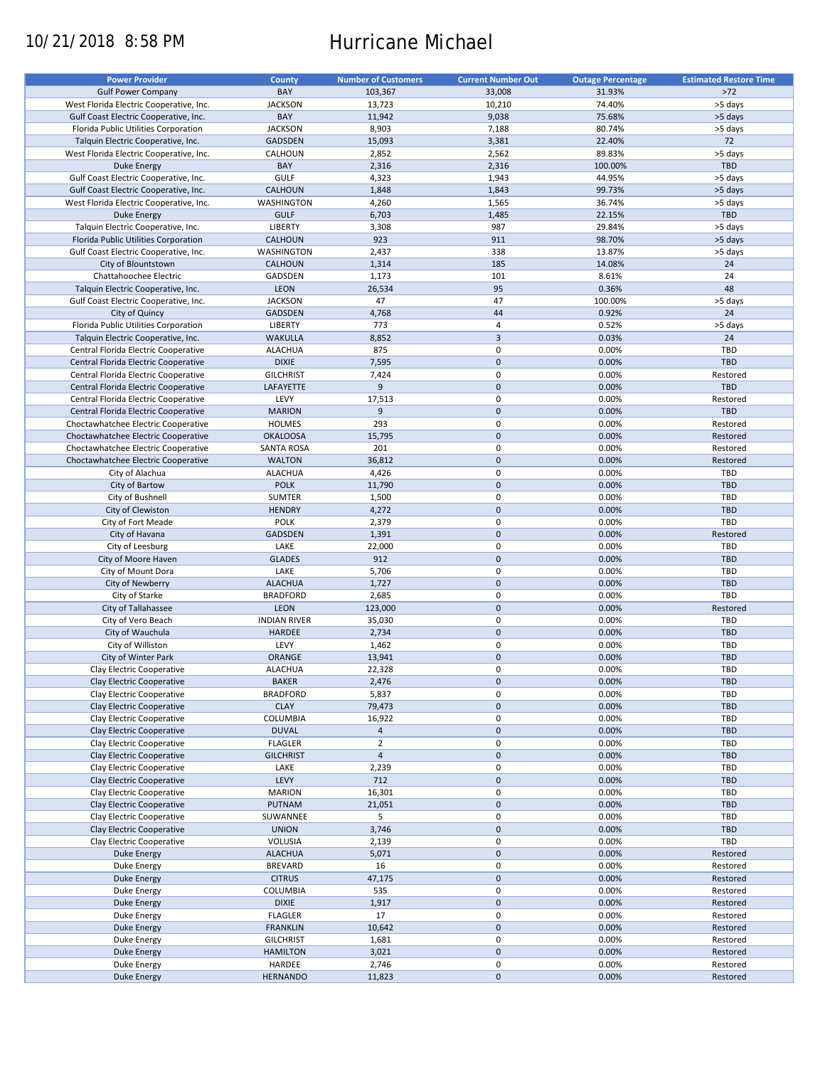# 10/21/2018 8:58 PM Hurricane Michael

| <b>Power Provider</b>                   | <b>County</b>       | <b>Number of Customers</b> | <b>Current Number Out</b> | <b>Outage Percentage</b> | <b>Estimated Restore Time</b> |
|-----------------------------------------|---------------------|----------------------------|---------------------------|--------------------------|-------------------------------|
|                                         |                     |                            |                           |                          |                               |
| <b>Gulf Power Company</b>               | BAY                 | 103,367                    | 33,008                    | 31.93%                   | $>72$                         |
| West Florida Electric Cooperative, Inc. | <b>JACKSON</b>      | 13,723                     | 10,210                    | 74.40%                   | >5 days                       |
| Gulf Coast Electric Cooperative, Inc.   | BAY                 | 11,942                     | 9,038                     | 75.68%                   | >5 days                       |
| Florida Public Utilities Corporation    | <b>JACKSON</b>      | 8,903                      | 7,188                     | 80.74%                   | >5 days                       |
| Talquin Electric Cooperative, Inc.      | GADSDEN             | 15,093                     | 3,381                     | 22.40%                   | 72                            |
| West Florida Electric Cooperative, Inc. | CALHOUN             | 2,852                      | 2,562                     | 89.83%                   | >5 days                       |
|                                         | BAY                 |                            |                           |                          | <b>TBD</b>                    |
| Duke Energy                             |                     | 2,316                      | 2,316                     | 100.00%                  |                               |
| Gulf Coast Electric Cooperative, Inc.   | <b>GULF</b>         | 4,323                      | 1,943                     | 44.95%                   | >5 days                       |
| Gulf Coast Electric Cooperative, Inc.   | CALHOUN             | 1,848                      | 1,843                     | 99.73%                   | >5 days                       |
| West Florida Electric Cooperative, Inc. | WASHINGTON          | 4,260                      | 1,565                     | 36.74%                   | >5 days                       |
| <b>Duke Energy</b>                      | <b>GULF</b>         | 6,703                      | 1,485                     | 22.15%                   | <b>TBD</b>                    |
| Talquin Electric Cooperative, Inc.      | LIBERTY             | 3,308                      | 987                       | 29.84%                   | >5 days                       |
| Florida Public Utilities Corporation    |                     | 923                        | 911                       |                          |                               |
|                                         | CALHOUN             |                            |                           | 98.70%                   | >5 days                       |
| Gulf Coast Electric Cooperative, Inc.   | WASHINGTON          | 2,437                      | 338                       | 13.87%                   | >5 days                       |
| City of Blountstown                     | CALHOUN             | 1,314                      | 185                       | 14.08%                   | 24                            |
| Chattahoochee Electric                  | GADSDEN             | 1,173                      | 101                       | 8.61%                    | 24                            |
| Talquin Electric Cooperative, Inc.      | <b>LEON</b>         | 26,534                     | 95                        | 0.36%                    | 48                            |
| Gulf Coast Electric Cooperative, Inc.   | <b>JACKSON</b>      | 47                         | 47                        | 100.00%                  | >5 days                       |
|                                         |                     |                            | 44                        |                          |                               |
| City of Quincy                          | GADSDEN             | 4,768                      |                           | 0.92%                    | 24                            |
| Florida Public Utilities Corporation    | LIBERTY             | 773                        | 4                         | 0.52%                    | >5 days                       |
| Talquin Electric Cooperative, Inc.      | <b>WAKULLA</b>      | 8,852                      | 3                         | 0.03%                    | 24                            |
| Central Florida Electric Cooperative    | <b>ALACHUA</b>      | 875                        | $\mathbf 0$               | 0.00%                    | TBD                           |
| Central Florida Electric Cooperative    | <b>DIXIE</b>        | 7,595                      | $\pmb{0}$                 | 0.00%                    | <b>TBD</b>                    |
|                                         |                     |                            | 0                         | 0.00%                    |                               |
| Central Florida Electric Cooperative    | <b>GILCHRIST</b>    | 7,424                      |                           |                          | Restored                      |
| Central Florida Electric Cooperative    | LAFAYETTE           | 9                          | $\pmb{0}$                 | 0.00%                    | <b>TBD</b>                    |
| Central Florida Electric Cooperative    | LEVY                | 17,513                     | $\mathbf 0$               | 0.00%                    | Restored                      |
| Central Florida Electric Cooperative    | <b>MARION</b>       | 9                          | $\pmb{0}$                 | 0.00%                    | <b>TBD</b>                    |
| Choctawhatchee Electric Cooperative     | <b>HOLMES</b>       | 293                        | 0                         | 0.00%                    | Restored                      |
| Choctawhatchee Electric Cooperative     | <b>OKALOOSA</b>     | 15,795                     | $\mathbf 0$               | 0.00%                    | Restored                      |
|                                         |                     |                            |                           |                          |                               |
| Choctawhatchee Electric Cooperative     | <b>SANTA ROSA</b>   | 201                        | $\mathbf 0$               | 0.00%                    | Restored                      |
| Choctawhatchee Electric Cooperative     | <b>WALTON</b>       | 36,812                     | $\pmb{0}$                 | 0.00%                    | Restored                      |
| City of Alachua                         | <b>ALACHUA</b>      | 4,426                      | 0                         | 0.00%                    | TBD                           |
| City of Bartow                          | <b>POLK</b>         | 11,790                     | $\pmb{0}$                 | 0.00%                    | <b>TBD</b>                    |
| City of Bushnell                        | <b>SUMTER</b>       | 1,500                      | $\mathbf 0$               | 0.00%                    | TBD                           |
|                                         | <b>HENDRY</b>       |                            | $\mathbf 0$               | 0.00%                    | <b>TBD</b>                    |
| City of Clewiston                       |                     | 4,272                      |                           |                          |                               |
| City of Fort Meade                      | <b>POLK</b>         | 2,379                      | 0                         | 0.00%                    | TBD                           |
| City of Havana                          | GADSDEN             | 1,391                      | $\mathbf 0$               | 0.00%                    | Restored                      |
| City of Leesburg                        | LAKE                | 22,000                     | 0                         | 0.00%                    | TBD                           |
| City of Moore Haven                     | <b>GLADES</b>       | 912                        | $\mathbf 0$               | 0.00%                    | <b>TBD</b>                    |
| City of Mount Dora                      | LAKE                | 5,706                      | 0                         | 0.00%                    | TBD                           |
| City of Newberry                        | <b>ALACHUA</b>      | 1,727                      | $\pmb{0}$                 | 0.00%                    | TBD                           |
|                                         |                     |                            |                           |                          |                               |
| City of Starke                          | <b>BRADFORD</b>     | 2,685                      | $\pmb{0}$                 | 0.00%                    | TBD                           |
| City of Tallahassee                     | LEON                | 123,000                    | $\mathbf 0$               | 0.00%                    | Restored                      |
| City of Vero Beach                      | <b>INDIAN RIVER</b> | 35,030                     | 0                         | 0.00%                    | TBD                           |
| City of Wauchula                        | HARDEE              | 2,734                      | $\pmb{0}$                 | 0.00%                    | <b>TBD</b>                    |
| City of Williston                       | LEVY                | 1,462                      | $\pmb{0}$                 | 0.00%                    | TBD                           |
| City of Winter Park                     | <b>ORANGE</b>       | 13,941                     | $\pmb{0}$                 | 0.00%                    | <b>TBD</b>                    |
|                                         |                     |                            | $\mathbf 0$               |                          |                               |
| Clay Electric Cooperative               | <b>ALACHUA</b>      | 22,328                     |                           | 0.00%                    | TBD                           |
| Clay Electric Cooperative               | <b>BAKER</b>        | 2,476                      | $\pmb{0}$                 | 0.00%                    | TBD                           |
| Clay Electric Cooperative               | <b>BRADFORD</b>     | 5,837                      | 0                         | 0.00%                    | TBD                           |
| Clay Electric Cooperative               | <b>CLAY</b>         | 79,473                     | $\pmb{0}$                 | 0.00%                    | <b>TBD</b>                    |
| Clay Electric Cooperative               | COLUMBIA            | 16,922                     | 0                         | 0.00%                    | TBD                           |
| Clay Electric Cooperative               | <b>DUVAL</b>        | $\overline{4}$             | $\pmb{0}$                 | 0.00%                    | <b>TBD</b>                    |
|                                         |                     |                            |                           |                          |                               |
| Clay Electric Cooperative               | <b>FLAGLER</b>      | $\overline{2}$             | 0                         | 0.00%                    | TBD                           |
| Clay Electric Cooperative               | <b>GILCHRIST</b>    | $\overline{4}$             | 0                         | 0.00%                    | <b>TBD</b>                    |
| Clay Electric Cooperative               | LAKE                | 2,239                      | 0                         | 0.00%                    | TBD                           |
| Clay Electric Cooperative               | LEVY                | 712                        | $\pmb{0}$                 | 0.00%                    | TBD                           |
| Clay Electric Cooperative               | <b>MARION</b>       | 16,301                     | 0                         | 0.00%                    | TBD                           |
| Clay Electric Cooperative               | PUTNAM              | 21,051                     | $\pmb{0}$                 | 0.00%                    | <b>TBD</b>                    |
|                                         |                     |                            |                           |                          |                               |
| Clay Electric Cooperative               | SUWANNEE            | 5                          | 0                         | 0.00%                    | TBD                           |
| Clay Electric Cooperative               | <b>UNION</b>        | 3,746                      | $\pmb{0}$                 | 0.00%                    | TBD                           |
| Clay Electric Cooperative               | VOLUSIA             | 2,139                      | 0                         | 0.00%                    | TBD                           |
| <b>Duke Energy</b>                      | <b>ALACHUA</b>      | 5,071                      | $\pmb{0}$                 | 0.00%                    | Restored                      |
| Duke Energy                             | <b>BREVARD</b>      | 16                         | 0                         | 0.00%                    | Restored                      |
| <b>Duke Energy</b>                      | <b>CITRUS</b>       | 47,175                     | $\pmb{0}$                 | 0.00%                    | Restored                      |
|                                         |                     |                            | 0                         |                          |                               |
| Duke Energy                             | <b>COLUMBIA</b>     | 535                        |                           | 0.00%                    | Restored                      |
| <b>Duke Energy</b>                      | <b>DIXIE</b>        | 1,917                      | $\pmb{0}$                 | 0.00%                    | Restored                      |
| Duke Energy                             | <b>FLAGLER</b>      | 17                         | 0                         | 0.00%                    | Restored                      |
| <b>Duke Energy</b>                      | <b>FRANKLIN</b>     | 10,642                     | $\pmb{0}$                 | 0.00%                    | Restored                      |
| Duke Energy                             | <b>GILCHRIST</b>    | 1,681                      | 0                         | 0.00%                    | Restored                      |
| <b>Duke Energy</b>                      | <b>HAMILTON</b>     | 3,021                      | $\pmb{0}$                 | 0.00%                    | Restored                      |
|                                         | HARDEE              |                            | 0                         | 0.00%                    | Restored                      |
| Duke Energy                             |                     | 2,746                      |                           |                          |                               |
| <b>Duke Energy</b>                      | <b>HERNANDO</b>     | 11,823                     | $\pmb{0}$                 | 0.00%                    | Restored                      |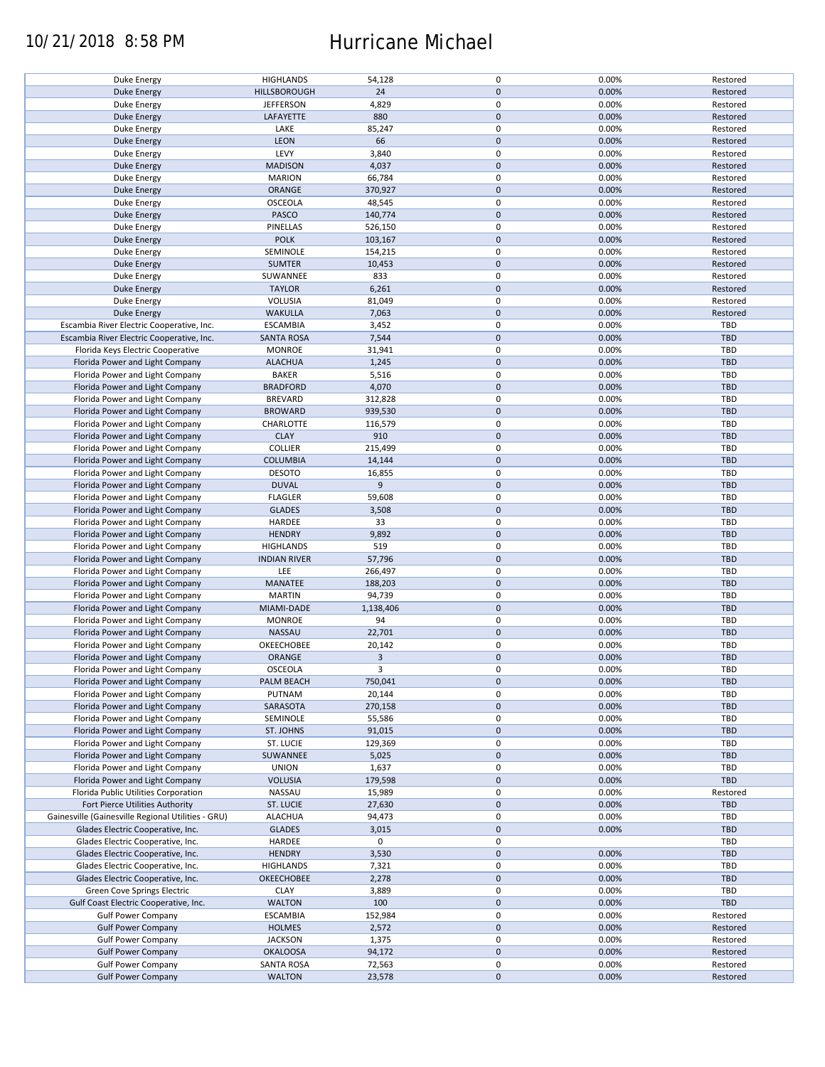### 10/21/2018 8:58 PM Hurricane Michael

| Duke Energy                                        | <b>HIGHLANDS</b>    | 54,128       | $\mathbf 0$ | 0.00% | Restored   |
|----------------------------------------------------|---------------------|--------------|-------------|-------|------------|
| <b>Duke Energy</b>                                 | HILLSBOROUGH        | 24           | $\mathbf 0$ | 0.00% | Restored   |
| Duke Energy                                        | <b>JEFFERSON</b>    | 4,829        | 0           | 0.00% | Restored   |
|                                                    |                     |              | $\mathbf 0$ |       |            |
| <b>Duke Energy</b>                                 | LAFAYETTE           | 880          |             | 0.00% | Restored   |
| Duke Energy                                        | LAKE                | 85,247       | 0           | 0.00% | Restored   |
| <b>Duke Energy</b>                                 | LEON                | 66           | $\mathbf 0$ | 0.00% | Restored   |
| Duke Energy                                        | LEVY                | 3,840        | 0           | 0.00% | Restored   |
|                                                    |                     |              |             |       |            |
| <b>Duke Energy</b>                                 | <b>MADISON</b>      | 4,037        | $\mathbf 0$ | 0.00% | Restored   |
| Duke Energy                                        | <b>MARION</b>       | 66,784       | 0           | 0.00% | Restored   |
| Duke Energy                                        | ORANGE              | 370,927      | $\mathbf 0$ | 0.00% | Restored   |
|                                                    |                     |              |             |       |            |
| Duke Energy                                        | <b>OSCEOLA</b>      | 48,545       | 0           | 0.00% | Restored   |
| Duke Energy                                        | PASCO               | 140,774      | $\mathbf 0$ | 0.00% | Restored   |
| Duke Energy                                        | PINELLAS            | 526,150      | $\mathbf 0$ | 0.00% | Restored   |
| Duke Energy                                        | <b>POLK</b>         | 103,167      | $\mathbf 0$ | 0.00% | Restored   |
|                                                    |                     |              |             |       |            |
| Duke Energy                                        | SEMINOLE            | 154,215      | $\pmb{0}$   | 0.00% | Restored   |
| <b>Duke Energy</b>                                 | <b>SUMTER</b>       | 10,453       | $\mathbf 0$ | 0.00% | Restored   |
| Duke Energy                                        | SUWANNEE            | 833          | $\pmb{0}$   | 0.00% | Restored   |
|                                                    |                     |              | $\mathbf 0$ |       |            |
| <b>Duke Energy</b>                                 | <b>TAYLOR</b>       | 6,261        |             | 0.00% | Restored   |
| Duke Energy                                        | VOLUSIA             | 81,049       | $\pmb{0}$   | 0.00% | Restored   |
| <b>Duke Energy</b>                                 | <b>WAKULLA</b>      | 7,063        | $\mathbf 0$ | 0.00% | Restored   |
| Escambia River Electric Cooperative, Inc.          | <b>ESCAMBIA</b>     | 3,452        | $\pmb{0}$   | 0.00% | <b>TBD</b> |
|                                                    |                     |              |             |       |            |
| Escambia River Electric Cooperative, Inc.          | <b>SANTA ROSA</b>   | 7,544        | $\mathbf 0$ | 0.00% | <b>TBD</b> |
| Florida Keys Electric Cooperative                  | <b>MONROE</b>       | 31,941       | $\pmb{0}$   | 0.00% | <b>TBD</b> |
| Florida Power and Light Company                    | <b>ALACHUA</b>      | 1,245        | $\mathbf 0$ | 0.00% | <b>TBD</b> |
|                                                    |                     |              |             |       |            |
| Florida Power and Light Company                    | <b>BAKER</b>        | 5,516        | $\mathbf 0$ | 0.00% | <b>TBD</b> |
| Florida Power and Light Company                    | <b>BRADFORD</b>     | 4,070        | $\pmb{0}$   | 0.00% | <b>TBD</b> |
| Florida Power and Light Company                    | <b>BREVARD</b>      | 312,828      | $\mathbf 0$ | 0.00% | TBD        |
|                                                    |                     |              |             |       |            |
| Florida Power and Light Company                    | <b>BROWARD</b>      | 939,530      | $\pmb{0}$   | 0.00% | <b>TBD</b> |
| Florida Power and Light Company                    | CHARLOTTE           | 116,579      | $\mathbf 0$ | 0.00% | TBD        |
| Florida Power and Light Company                    | <b>CLAY</b>         | 910          | $\pmb{0}$   | 0.00% | <b>TBD</b> |
| Florida Power and Light Company                    | <b>COLLIER</b>      | 215,499      | $\pmb{0}$   | 0.00% | <b>TBD</b> |
|                                                    |                     |              |             |       |            |
| Florida Power and Light Company                    | <b>COLUMBIA</b>     | 14,144       | $\pmb{0}$   | 0.00% | <b>TBD</b> |
| Florida Power and Light Company                    | <b>DESOTO</b>       | 16,855       | 0           | 0.00% | TBD        |
| Florida Power and Light Company                    | <b>DUVAL</b>        | 9            | $\mathbf 0$ | 0.00% | <b>TBD</b> |
|                                                    |                     |              |             |       |            |
| Florida Power and Light Company                    | <b>FLAGLER</b>      | 59,608       | 0           | 0.00% | TBD        |
| Florida Power and Light Company                    | <b>GLADES</b>       | 3,508        | $\pmb{0}$   | 0.00% | <b>TBD</b> |
| Florida Power and Light Company                    | HARDEE              | 33           | $\pmb{0}$   | 0.00% | TBD        |
| Florida Power and Light Company                    | <b>HENDRY</b>       | 9,892        | $\pmb{0}$   | 0.00% | <b>TBD</b> |
|                                                    |                     |              |             |       |            |
| Florida Power and Light Company                    | <b>HIGHLANDS</b>    | 519          | $\pmb{0}$   | 0.00% | <b>TBD</b> |
| Florida Power and Light Company                    | <b>INDIAN RIVER</b> | 57,796       | $\mathbf 0$ | 0.00% | <b>TBD</b> |
| Florida Power and Light Company                    | LEE                 | 266,497      | $\pmb{0}$   | 0.00% | TBD        |
|                                                    |                     |              |             |       |            |
| Florida Power and Light Company                    | MANATEE             | 188,203      | $\pmb{0}$   | 0.00% | <b>TBD</b> |
| Florida Power and Light Company                    | <b>MARTIN</b>       | 94,739       | $\pmb{0}$   | 0.00% | TBD        |
| Florida Power and Light Company                    | MIAMI-DADE          | 1,138,406    | $\mathbf 0$ | 0.00% | <b>TBD</b> |
|                                                    |                     |              |             |       |            |
| Florida Power and Light Company                    | <b>MONROE</b>       | 94           | $\mathbf 0$ | 0.00% | TBD        |
| Florida Power and Light Company                    | NASSAU              | 22,701       | $\mathbf 0$ | 0.00% | <b>TBD</b> |
| Florida Power and Light Company                    | OKEECHOBEE          | 20,142       | 0           | 0.00% | <b>TBD</b> |
|                                                    | <b>ORANGE</b>       |              |             |       |            |
| Florida Power and Light Company                    |                     | $\mathbf{3}$ | $\mathbf 0$ | 0.00% | <b>TBD</b> |
| Florida Power and Light Company                    | <b>OSCEOLA</b>      | 3            | $\mathbf 0$ | 0.00% | TBD        |
| Florida Power and Light Company                    | PALM BEACH          | 750,041      | $\pmb{0}$   | 0.00% | TBD        |
|                                                    |                     |              |             |       | TBD        |
| Florida Power and Light Company                    | PUTNAM              | 20,144       | 0           | 0.00% |            |
| Florida Power and Light Company                    | SARASOTA            | 270,158      | $\mathbf 0$ | 0.00% | <b>TBD</b> |
| Florida Power and Light Company                    | SEMINOLE            | 55,586       | 0           | 0.00% | TBD        |
| Florida Power and Light Company                    | ST. JOHNS           | 91,015       | 0           | 0.00% | TBD        |
|                                                    |                     |              |             | 0.00% | TBD        |
|                                                    |                     |              |             |       |            |
| Florida Power and Light Company                    | ST. LUCIE           | 129,369      | 0           |       |            |
| Florida Power and Light Company                    | SUWANNEE            | 5,025        | $\pmb{0}$   | 0.00% | <b>TBD</b> |
|                                                    |                     |              |             |       |            |
| Florida Power and Light Company                    | <b>UNION</b>        | 1,637        | 0           | 0.00% | TBD        |
| Florida Power and Light Company                    | <b>VOLUSIA</b>      | 179,598      | 0           | 0.00% | <b>TBD</b> |
| Florida Public Utilities Corporation               | NASSAU              | 15,989       | 0           | 0.00% | Restored   |
| Fort Pierce Utilities Authority                    | ST. LUCIE           | 27,630       | $\pmb{0}$   | 0.00% | <b>TBD</b> |
|                                                    |                     |              |             |       |            |
| Gainesville (Gainesville Regional Utilities - GRU) | <b>ALACHUA</b>      | 94,473       | 0           | 0.00% | TBD        |
| Glades Electric Cooperative, Inc.                  | <b>GLADES</b>       | 3,015        | $\pmb{0}$   | 0.00% | <b>TBD</b> |
| Glades Electric Cooperative, Inc.                  | HARDEE              | 0            | $\pmb{0}$   |       | TBD        |
|                                                    |                     |              |             |       |            |
| Glades Electric Cooperative, Inc.                  | <b>HENDRY</b>       | 3,530        | $\pmb{0}$   | 0.00% | <b>TBD</b> |
| Glades Electric Cooperative, Inc.                  | <b>HIGHLANDS</b>    | 7,321        | $\pmb{0}$   | 0.00% | TBD        |
| Glades Electric Cooperative, Inc.                  | <b>OKEECHOBEE</b>   | 2,278        | $\pmb{0}$   | 0.00% | <b>TBD</b> |
|                                                    |                     |              |             |       | <b>TBD</b> |
| Green Cove Springs Electric                        | <b>CLAY</b>         | 3,889        | $\pmb{0}$   | 0.00% |            |
| Gulf Coast Electric Cooperative, Inc.              | <b>WALTON</b>       | 100          | $\pmb{0}$   | 0.00% | TBD        |
| <b>Gulf Power Company</b>                          | <b>ESCAMBIA</b>     | 152,984      | 0           | 0.00% | Restored   |
| <b>Gulf Power Company</b>                          | <b>HOLMES</b>       | 2,572        | $\pmb{0}$   | 0.00% | Restored   |
|                                                    |                     |              |             |       |            |
| <b>Gulf Power Company</b>                          | <b>JACKSON</b>      | 1,375        | 0           | 0.00% | Restored   |
| <b>Gulf Power Company</b>                          | <b>OKALOOSA</b>     | 94,172       | $\pmb{0}$   | 0.00% | Restored   |
| <b>Gulf Power Company</b>                          | <b>SANTA ROSA</b>   | 72,563       | 0           | 0.00% | Restored   |
| <b>Gulf Power Company</b>                          | <b>WALTON</b>       | 23,578       | $\pmb{0}$   | 0.00% | Restored   |